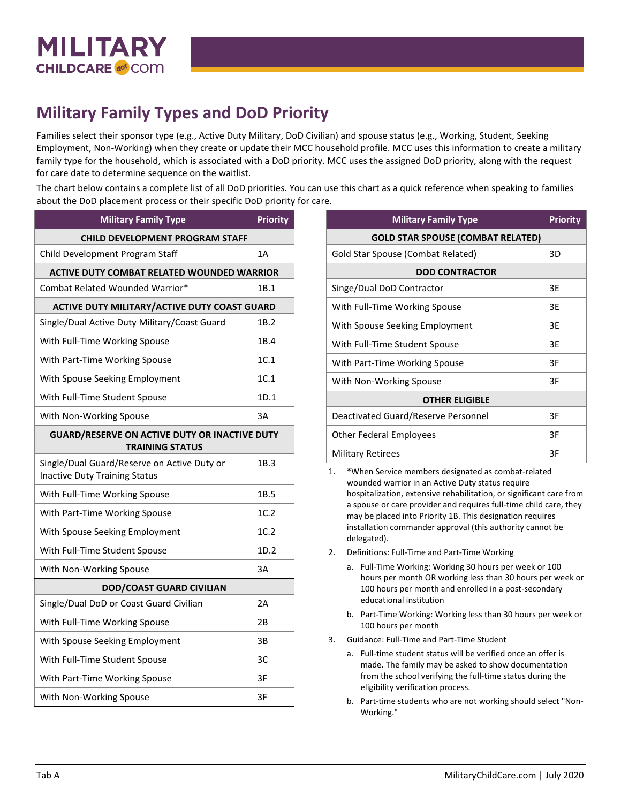

## **Military Family Types and DoD Priority**

Families select their sponsor type (e.g., Active Duty Military, DoD Civilian) and spouse status (e.g., Working, Student, Seeking Employment, Non-Working) when they create or update their MCC household profile. MCC uses this information to create a military family type for the household, which is associated with a DoD priority. MCC uses the assigned DoD priority, along with the request for care date to determine sequence on the waitlist.

The chart below contains a complete list of all DoD priorities. You can use this chart as a quick reference when speaking to families about the DoD placement process or their specific DoD priority for care.

| <b>Military Family Type</b>                                                         | <b>Priority</b> |  |  |  |
|-------------------------------------------------------------------------------------|-----------------|--|--|--|
| <b>CHILD DEVELOPMENT PROGRAM STAFF</b>                                              |                 |  |  |  |
| Child Development Program Staff                                                     | 1A              |  |  |  |
| <b>ACTIVE DUTY COMBAT RELATED WOUNDED WARRIOR</b>                                   |                 |  |  |  |
| Combat Related Wounded Warrior*                                                     | 1B.1            |  |  |  |
| ACTIVE DUTY MILITARY/ACTIVE DUTY COAST GUARD                                        |                 |  |  |  |
| Single/Dual Active Duty Military/Coast Guard                                        | 1B.2            |  |  |  |
| With Full-Time Working Spouse                                                       | 1B.4            |  |  |  |
| With Part-Time Working Spouse                                                       | 1C.1            |  |  |  |
| With Spouse Seeking Employment                                                      | 1C.1            |  |  |  |
| With Full-Time Student Spouse                                                       | 1D.1            |  |  |  |
| With Non-Working Spouse                                                             | 3A              |  |  |  |
| <b>GUARD/RESERVE ON ACTIVE DUTY OR INACTIVE DUTY</b><br><b>TRAINING STATUS</b>      |                 |  |  |  |
| Single/Dual Guard/Reserve on Active Duty or<br><b>Inactive Duty Training Status</b> | 1B.3            |  |  |  |
| With Full-Time Working Spouse                                                       | 1B.5            |  |  |  |
| With Part-Time Working Spouse                                                       | 1C.2            |  |  |  |
| With Spouse Seeking Employment                                                      | 1C.2            |  |  |  |
| With Full-Time Student Spouse                                                       | 1D.2            |  |  |  |
| With Non-Working Spouse                                                             | 3A              |  |  |  |
| <b>DOD/COAST GUARD CIVILIAN</b>                                                     |                 |  |  |  |
| Single/Dual DoD or Coast Guard Civilian                                             | 2A              |  |  |  |
| With Full-Time Working Spouse                                                       | 2Β              |  |  |  |
| With Spouse Seeking Employment                                                      | 3B              |  |  |  |
| With Full-Time Student Spouse                                                       | 3C              |  |  |  |
| With Part-Time Working Spouse                                                       | 3F              |  |  |  |
| With Non-Working Spouse                                                             | 3F              |  |  |  |

| <b>Military Family Type</b>              | <b>Priority</b> |  |  |  |
|------------------------------------------|-----------------|--|--|--|
| <b>GOLD STAR SPOUSE (COMBAT RELATED)</b> |                 |  |  |  |
| Gold Star Spouse (Combat Related)        | 3D              |  |  |  |
| <b>DOD CONTRACTOR</b>                    |                 |  |  |  |
| Singe/Dual DoD Contractor                | 3F              |  |  |  |
| With Full-Time Working Spouse            | 3E              |  |  |  |
| With Spouse Seeking Employment           | 3E              |  |  |  |
| With Full-Time Student Spouse            | 3F              |  |  |  |
| With Part-Time Working Spouse            | 3F              |  |  |  |
| With Non-Working Spouse                  | 3F              |  |  |  |
| <b>OTHER ELIGIBLE</b>                    |                 |  |  |  |
| Deactivated Guard/Reserve Personnel      | 3F              |  |  |  |
| <b>Other Federal Employees</b>           | 3F              |  |  |  |
| Military Retirees                        | 3F              |  |  |  |

- 1. \*When Service members designated as combat-related wounded warrior in an Active Duty status require hospitalization, extensive rehabilitation, or significant care from a spouse or care provider and requires full-time child care, they may be placed into Priority 1B. This designation requires installation commander approval (this authority cannot be delegated).
- 2. Definitions: Full-Time and Part-Time Working
	- a. Full-Time Working: Working 30 hours per week or 100 hours per month OR working less than 30 hours per week or 100 hours per month and enrolled in a post-secondary educational institution
	- b. Part-Time Working: Working less than 30 hours per week or 100 hours per month
- 3. Guidance: Full-Time and Part-Time Student
	- a. Full-time student status will be verified once an offer is made. The family may be asked to show documentation from the school verifying the full-time status during the eligibility verification process.
	- b. Part-time students who are not working should select "Non-Working."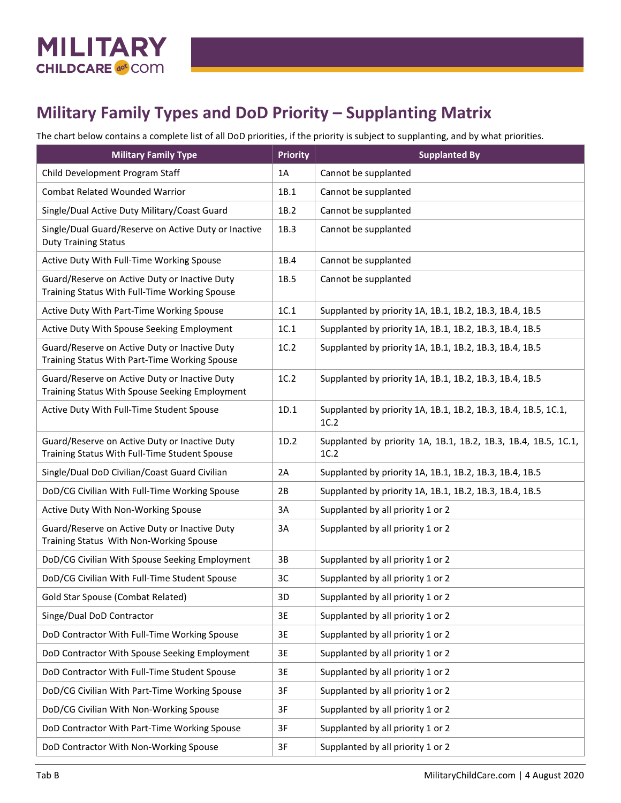

## **Military Family Types and DoD Priority – Supplanting Matrix**

The chart below contains a complete list of all DoD priorities, if the priority is subject to supplanting, and by what priorities.

| <b>Military Family Type</b>                                                                     | <b>Priority</b> | <b>Supplanted By</b>                                                   |
|-------------------------------------------------------------------------------------------------|-----------------|------------------------------------------------------------------------|
| Child Development Program Staff                                                                 | 1A              | Cannot be supplanted                                                   |
| <b>Combat Related Wounded Warrior</b>                                                           | 1B.1            | Cannot be supplanted                                                   |
| Single/Dual Active Duty Military/Coast Guard                                                    | 1B.2            | Cannot be supplanted                                                   |
| Single/Dual Guard/Reserve on Active Duty or Inactive<br><b>Duty Training Status</b>             | 1B.3            | Cannot be supplanted                                                   |
| Active Duty With Full-Time Working Spouse                                                       | 1B.4            | Cannot be supplanted                                                   |
| Guard/Reserve on Active Duty or Inactive Duty<br>Training Status With Full-Time Working Spouse  | 1B.5            | Cannot be supplanted                                                   |
| Active Duty With Part-Time Working Spouse                                                       | 1C.1            | Supplanted by priority 1A, 1B.1, 1B.2, 1B.3, 1B.4, 1B.5                |
| Active Duty With Spouse Seeking Employment                                                      | 1C.1            | Supplanted by priority 1A, 1B.1, 1B.2, 1B.3, 1B.4, 1B.5                |
| Guard/Reserve on Active Duty or Inactive Duty<br>Training Status With Part-Time Working Spouse  | 1C.2            | Supplanted by priority 1A, 1B.1, 1B.2, 1B.3, 1B.4, 1B.5                |
| Guard/Reserve on Active Duty or Inactive Duty<br>Training Status With Spouse Seeking Employment | 1C.2            | Supplanted by priority 1A, 1B.1, 1B.2, 1B.3, 1B.4, 1B.5                |
| Active Duty With Full-Time Student Spouse                                                       | 1D.1            | Supplanted by priority 1A, 1B.1, 1B.2, 1B.3, 1B.4, 1B.5, 1C.1,<br>1C.2 |
| Guard/Reserve on Active Duty or Inactive Duty<br>Training Status With Full-Time Student Spouse  | 1D.2            | Supplanted by priority 1A, 1B.1, 1B.2, 1B.3, 1B.4, 1B.5, 1C.1,<br>1C.2 |
| Single/Dual DoD Civilian/Coast Guard Civilian                                                   | 2A              | Supplanted by priority 1A, 1B.1, 1B.2, 1B.3, 1B.4, 1B.5                |
| DoD/CG Civilian With Full-Time Working Spouse                                                   | 2B              | Supplanted by priority 1A, 1B.1, 1B.2, 1B.3, 1B.4, 1B.5                |
| Active Duty With Non-Working Spouse                                                             | 3A              | Supplanted by all priority 1 or 2                                      |
| Guard/Reserve on Active Duty or Inactive Duty<br>Training Status With Non-Working Spouse        | 3A              | Supplanted by all priority 1 or 2                                      |
| DoD/CG Civilian With Spouse Seeking Employment                                                  | 3B              | Supplanted by all priority 1 or 2                                      |
| DoD/CG Civilian With Full-Time Student Spouse                                                   | 3C              | Supplanted by all priority 1 or 2                                      |
| Gold Star Spouse (Combat Related)                                                               | 3D              | Supplanted by all priority 1 or 2                                      |
| Singe/Dual DoD Contractor                                                                       | 3E              | Supplanted by all priority 1 or 2                                      |
| DoD Contractor With Full-Time Working Spouse                                                    | 3E              | Supplanted by all priority 1 or 2                                      |
| DoD Contractor With Spouse Seeking Employment                                                   | 3E              | Supplanted by all priority 1 or 2                                      |
| DoD Contractor With Full-Time Student Spouse                                                    | 3E              | Supplanted by all priority 1 or 2                                      |
| DoD/CG Civilian With Part-Time Working Spouse                                                   | 3F              | Supplanted by all priority 1 or 2                                      |
| DoD/CG Civilian With Non-Working Spouse                                                         | 3F              | Supplanted by all priority 1 or 2                                      |
| DoD Contractor With Part-Time Working Spouse                                                    | 3F              | Supplanted by all priority 1 or 2                                      |
| DoD Contractor With Non-Working Spouse                                                          | 3F              | Supplanted by all priority 1 or 2                                      |